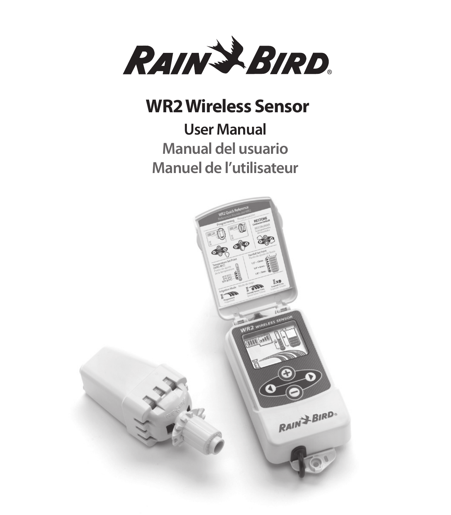

## **WR2 Wireless Sensor**

## **User Manual Manual del usuario Manuel de l'utilisateur**

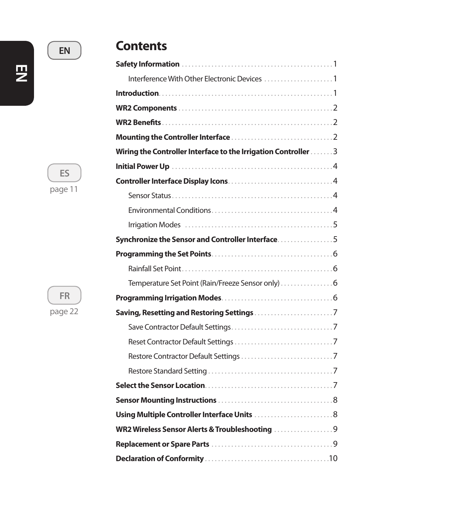## **EN**

## **Contents**

| Wiring the Controller Interface to the Irrigation Controller 3 |  |
|----------------------------------------------------------------|--|
|                                                                |  |
|                                                                |  |
|                                                                |  |
|                                                                |  |
|                                                                |  |
| Synchronize the Sensor and Controller Interface. 5             |  |
|                                                                |  |
|                                                                |  |
| Temperature Set Point (Rain/Freeze Sensor only) 6              |  |
|                                                                |  |
|                                                                |  |
|                                                                |  |
|                                                                |  |
|                                                                |  |
|                                                                |  |
|                                                                |  |
|                                                                |  |
| Using Multiple Controller Interface Units  8                   |  |
| WR2 Wireless Sensor Alerts & Troubleshooting                   |  |
|                                                                |  |
|                                                                |  |

**EN**

**ES**

page 11



page 22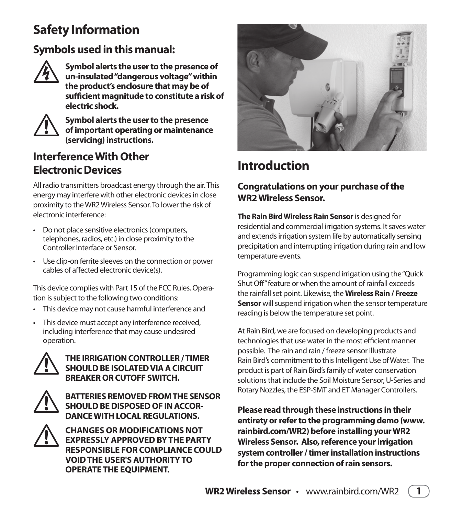## **Safety Information**

### **Symbols used in this manual:**



**Followia Symbol alerts the user to the presence of<br>
un-insulated "dangerous voltage" within<br>
the product's enclosure that may be of un-insulated "dangerous voltage" within the product's enclosure that may be of sufficient magnitude to constitute a risk of electric shock.**



**Symbol alerts the user to the presence<br>of important operating or maintenance<br>(servicing) instructions. of important operating or maintenance (servicing) instructions.**

### **Interference With Other Electronic Devices**

All radio transmitters broadcast energy through the air. This energy may interfere with other electronic devices in close proximity to the WR2 Wireless Sensor. To lower the risk of electronic interference:

- Do not place sensitive electronics (computers, telephones, radios, etc.) in close proximity to the Controller Interface or Sensor.
- Use clip-on ferrite sleeves on the connection or power cables of affected electronic device(s).

This device complies with Part 15 of the FCC Rules. Operation is subject to the following two conditions:

- This device may not cause harmful interference and
- This device must accept any interference received. including interference that may cause undesired operation.



THE IRRIGATION CONTROLLER / TIMER<br>
SHOULD BE ISOLATED VIA A CIRCUIT<br>
BREAKER OR CUTOFF SWITCH. **SHOULD BE ISOLATED VIA A CIRCUIT BREAKER OR CUTOFF SWITCH.** 



! **BATTERIES REMOVED FROM THE SENSOR SHOULD BE DISPOSED OF IN ACCOR-DANCE WITH LOCAL REGULATIONS.** 



**EXPRESSLY APPROVED BY THE PART RESPONSIBLE FOR COMPLIANCE CO EXPRESSLY APPROVED BY THE PARTY RESPONSIBLE FOR COMPLIANCE COULD VOID THE USER'S AUTHORITY TO OPERATE THE EQUIPMENT.**



## **Introduction**

### **Congratulations on your purchase of the WR2 Wireless Sensor.**

**The Rain Bird Wireless Rain Sensor** is designed for residential and commercial irrigation systems. It saves water and extends irrigation system life by automatically sensing precipitation and interrupting irrigation during rain and low temperature events.

Programming logic can suspend irrigation using the "Quick Shut Off" feature or when the amount of rainfall exceeds the rainfall set point. Likewise, the **Wireless Rain / Freeze Sensor** will suspend irrigation when the sensor temperature reading is below the temperature set point.

At Rain Bird, we are focused on developing products and technologies that use water in the most efficient manner possible. The rain and rain / freeze sensor illustrate Rain Bird's commitment to this Intelligent Use of Water. The product is part of Rain Bird's family of water conservation solutions that include the Soil Moisture Sensor, U-Series and Rotary Nozzles, the ESP-SMT and ET Manager Controllers.

**Please read through these instructions in their entirety or refer to the programming demo (www. rainbird.com/WR2) before installing your WR2 Wireless Sensor. Also, reference your irrigation system controller / timer installation instructions for the proper connection of rain sensors.**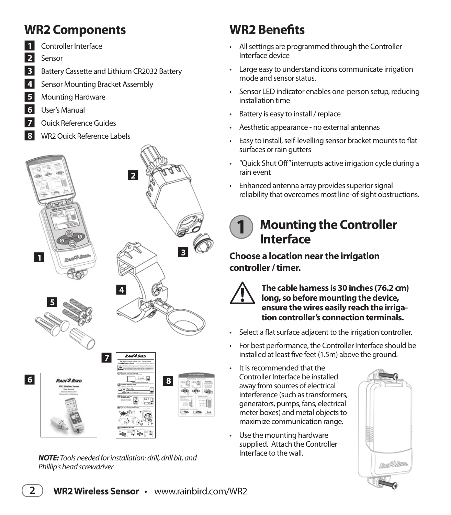## **WR2 Components**

- **1** Controller Interface
- Q**<sup>2</sup>** Sensor
- **3** Battery Cassette and Lithium CR2032 Battery
- **4** Sensor Mounting Bracket Assembly
- **5** Mounting Hardware
- **6** User's Manual
- **7** Ouick Reference Guides
- **8** WR2 Ouick Reference Labels



*NOTE:* Tools needed for installation: drill, drill bit, and Phillip's head screwdriver

## **WR2 Benefits**

- All settings are programmed through the Controller Interface device
- $\cdot$  Large easy to understand icons communicate irrigation mode and sensor status.
- Sensor LED indicator enables one-person setup, reducing installation time
- Battery is easy to install / replace
- Aesthetic appearance no external antennas
- Easy to install, self-levelling sensor bracket mounts to flat surfaces or rain gutters
- "Quick Shut Off" interrupts active irrigation cycle during a rain event
- Enhanced antenna array provides superior signal reliability that overcomes most line-of-sight obstructions.

### **Mounting the Controller Interface 1**

**Choose a location near the irrigation controller / timer.**



The cable harness is 30 inches (76.2 cm)<br>long, so before mounting the device,<br>ensure the wires easily reach the irriga**long, so before mounting the device, ensure the wires easily reach the irrigation controller's connection terminals.** 

- Select a flat surface adjacent to the irrigation controller.
- For best performance, the Controller Interface should be installed at least five feet (1.5m) above the ground.
- $\cdot$  It is recommended that the Controller Interface be installed away from sources of electrical interference (such as transformers, generators, pumps, fans, electrical meter boxes) and metal objects to maximize communication range.
- Use the mounting hardware supplied. Attach the Controller Interface to the wall.

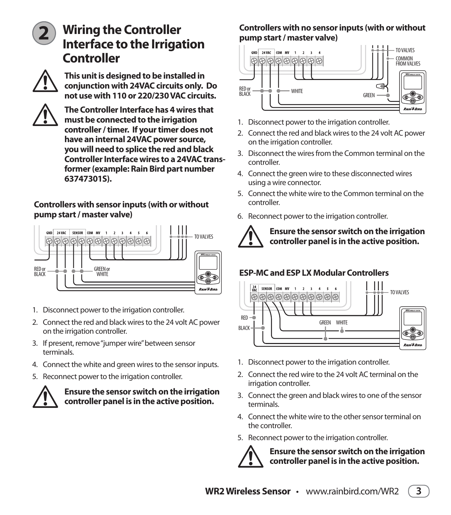

## **Wiring the Controller Interface to the Irrigation Controller**



This unit is designed to be installed in<br>
conjunction with 24VAC circuits only.<br>
not use with 110 or 220/230 VAC circui **conjunction with 24VAC circuits only. Do not use with 110 or 220/230 VAC circuits.** 



**11** The Controller Interface has 4 wires that<br>
must be connected to the irrigation<br>
controller / timer. If your timer does not **must be connected to the irrigation have an internal 24VAC power source, you will need to splice the red and black Controller Interface wires to a 24VAC transformer (example: Rain Bird part number 63747301S).**

#### **Controllers with sensor inputs (with or without pump start / master valve)**



- 1. Disconnect power to the irrigation controller.
- 2. Connect the red and black wires to the 24 volt AC power on the irrigation controller.
- 3. If present, remove "jumper wire" between sensor terminals.
- 4. Connect the white and green wires to the sensor inputs.
- 5. Reconnect power to the irrigation controller.



! **Ensure the sensor switch on the irrigation controller panel is in the active position.** 

### **Controllers with no sensor inputs (with or without pump start / master valve)**



- 1. Disconnect power to the irrigation controller.
- 2. Connect the red and black wires to the 24 volt AC power on the irrigation controller.
- 3. Disconnect the wires from the Common terminal on the controller.
- 4. Connect the green wire to these disconnected wires using a wire connector.
- 5. Connect the white wire to the Common terminal on the controller.
- 6. Reconnect power to the irrigation controller.



### ! **Ensure the sensor switch on the irrigation controller panel is in the active position.**

### **ESP-MC and ESP LX Modular Controllers**



- 1. Disconnect power to the irrigation controller.
- 2 Connect the red wire to the 24 volt AC terminal on the irrigation controller.
- 3. Connect the green and black wires to one of the sensor terminals.
- 4 Connect the white wire to the other sensor terminal on the controller.
- 5. Reconnect power to the irrigation controller.



! **Ensure the sensor switch on the irrigation controller panel is in the active position.**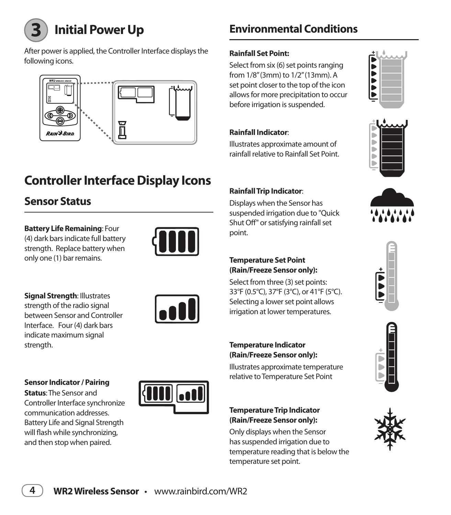

**Initial Power Up**

After power is applied, the Controller Interface displays the following icons.



## **Controller Interface Display Icons**

### **Sensor Status**

**Battery Life Remaining**: Four (4) dark bars indicate full battery strength. Replace battery when only one (1) bar remains.



**Signal Strength**: Illustrates strength of the radio signal between Sensor and Controller Interface. Four (4) dark bars indicate maximum signal strength.



#### **Sensor Indicator / Pairing**

**Status**: The Sensor and Controller Interface synchronize communication addresses. Battery Life and Signal Strength will flash while synchronizing, and then stop when paired.



## **Environmental Conditions**

### **Rainfall Set Point:**

Select from six (6) set points ranging from 1/8" (3mm) to 1/2" (13mm). A set point closer to the top of the icon allows for more precipitation to occur before irrigation is suspended.

### **Rainfall Indicator**:

Illustrates approximate amount of rainfall relative to Rainfall Set Point.



Displays when the Sensor has suspended irrigation due to "Quick Shut Off" or satisfying rainfall set point.

#### **Temperature Set Point (Rain/Freeze Sensor only):**

Select from three (3) set points: 33°F (0.5°C), 37°F (3°C), or 41°F (5°C). Selecting a lower set point allows irrigation at lower temperatures.

#### **Temperature Indicator (Rain/Freeze Sensor only):**

Illustrates approximate temperature relative to Temperature Set Point

#### **Temperature Trip Indicator (Rain/Freeze Sensor only):**

Only displays when the Sensor has suspended irrigation due to temperature reading that is below the temperature set point.











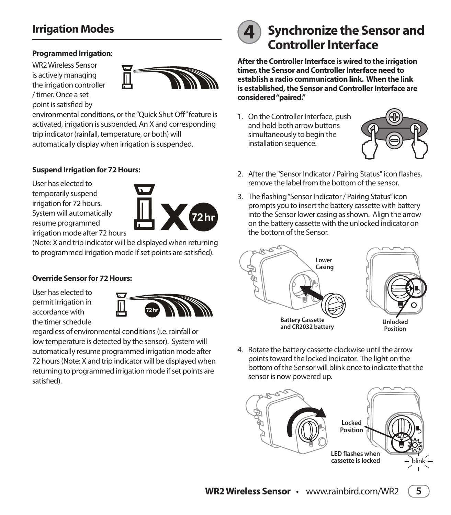### **Irrigation Modes**

#### **Programmed Irrigation**:

WR2 Wireless Sensor is actively managing the irrigation controller / timer. Once a set point is satisfied by



environmental conditions, or the "Quick Shut Off" feature is activated, irrigation is suspended. An X and corresponding trip indicator (rainfall, temperature, or both) will automatically display when irrigation is suspended.

#### **Suspend Irrigation for 72 Hours:**

User has elected to temporarily suspend irrigation for 72 hours. System will automatically resume programmed irrigation mode after 72 hours



(Note: X and trip indicator will be displayed when returning to programmed irrigation mode if set points are satisfied).

#### **Override Sensor for 72 Hours:**

User has elected to permit irrigation in accordance with the timer schedule



regardless of environmental conditions (i.e. rainfall or low temperature is detected by the sensor). System will automatically resume programmed irrigation mode after 72 hours (Note: X and trip indicator will be displayed when returning to programmed irrigation mode if set points are satisfied).



## **4 Synchronize the Sensor and Controller Interface**

**After the Controller Interface is wired to the irrigation timer, the Sensor and Controller Interface need to establish a radio communication link. When the link is established, the Sensor and Controller Interface are considered "paired."**

1. On the Controller Interface, push and hold both arrow buttons simultaneously to begin the installation sequence.



- 2. After the "Sensor Indicator / Pairing Status" icon flashes, remove the label from the bottom of the sensor.
- 3. The flashing "Sensor Indicator / Pairing Status" icon prompts you to insert the battery cassette with battery into the Sensor lower casing as shown. Align the arrow on the battery cassette with the unlocked indicator on the bottom of the Sensor



4. Rotate the battery cassette clockwise until the arrow points toward the locked indicator. The light on the bottom of the Sensor will blink once to indicate that the sensor is now powered up.

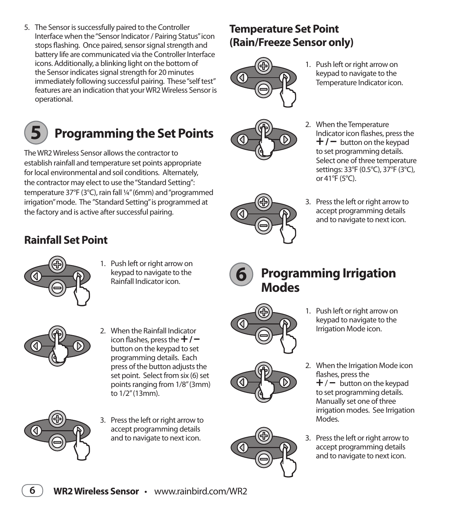5. The Sensor is successfully paired to the Controller Interface when the "Sensor Indicator / Pairing Status" icon stops flashing. Once paired, sensor signal strength and battery life are communicated via the Controller Interface icons. Additionally, a blinking light on the bottom of the Sensor indicates signal strength for 20 minutes immediately following successful pairing. These "self test" features are an indication that your WR2 Wireless Sensor is operational.

## **Programming the Set Points**

The WR2 Wireless Sensor allows the contractor to establish rainfall and temperature set points appropriate for local environmental and soil conditions. Alternately, the contractor may elect to use the "Standard Setting": temperature 37°F (3°C), rain fall ¼" (6mm) and "programmed irrigation" mode. The "Standard Setting" is programmed at the factory and is active after successful pairing.

## **Rainfall Set Point**

**5**

- 1. Push left or right arrow on keypad to navigate to the Rainfall Indicator icon.
- 2. When the Rainfall Indicator icon flashes, press the **+** / **–** button on the keypad to set programming details. Each press of the button adjusts the set point. Select from six (6) set points ranging from 1/8" (3mm) to 1/2" (13mm).
- 3. Press the left or right arrow to accept programming details and to navigate to next icon.

## **Temperature Set Point (Rain/Freeze Sensor only)**



1. Push left or right arrow on keypad to navigate to the Temperature Indicator icon.



3. Press the left or right arrow to accept programming details and to navigate to next icon.



◁

### **Programming Irrigation Modes**



- 1. Push left or right arrow on keypad to navigate to the Irrigation Mode icon.
- 2. When the Irrigation Mode icon flashes, press the  $+/-$  button on the keypad to set programming details. Manually set one of three irrigation modes. See Irrigation Modes.
- 3. Press the left or right arrow to accept programming details and to navigate to next icon.





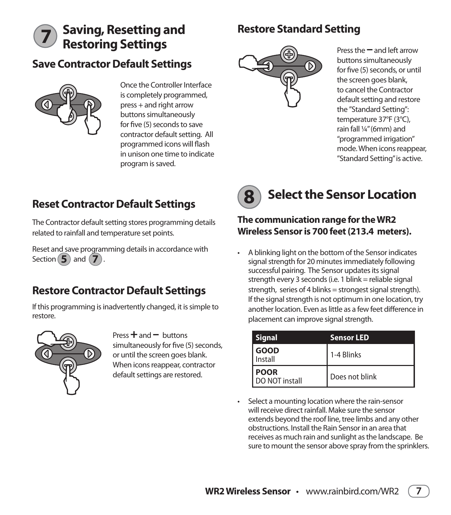## **Saving, Resetting and Sestore Standard Setting Restoring Settings**

### **Save Contractor Default Settings**



**7**

Once the Controller Interface is completely programmed,  $pres + and right arrow$ buttons simultaneously for five (5) seconds to save contractor default setting. All programmed icons will flash in unison one time to indicate program is saved.



Press the **–** and left arrow buttons simultaneously for five (5) seconds, or until the screen goes blank, to cancel the Contractor default setting and restore the "Standard Setting": temperature 37°F (3°C), rain fall ¼" (6mm) and "programmed irrigation" mode. When icons reappear, "Standard Setting" is active.

## **Reset Contractor Default Settings**

The Contractor default setting stores programming details related to rainfall and temperature set points.

Reset and save programming details in accordance with Section **5** and **7** .

### **Restore Contractor Default Settings**

If this programming is inadvertently changed, it is simple to restore.



 $Press + and - buttons$ simultaneously for five (5) seconds, or until the screen goes blank. When icons reappear, contractor default settings are restored.

### **Select the Sensor Location 8**

### **The communication range for the WR2 Wireless Sensor is 700 feet (213.4 meters).**

• A blinking light on the bottom of the Sensor indicates signal strength for 20 minutes immediately following successful pairing. The Sensor updates its signal strength every 3 seconds (i.e. 1 blink = reliable signal strength, series of 4 blinks = strongest signal strength). If the signal strength is not optimum in one location, try another location. Even as little as a few feet difference in placement can improve signal strength.

| <b>Signal</b>                 | <b>Sensor LED</b> |
|-------------------------------|-------------------|
| <b>GOOD</b><br>Install        | 1-4 Blinks        |
| <b>POOR</b><br>DO NOT install | Does not blink    |

• Select a mounting location where the rain-sensor will receive direct rainfall. Make sure the sensor extends bevond the roof line, tree limbs and any other obstructions. Install the Rain Sensor in an area that receives as much rain and sunlight as the landscape. Be sure to mount the sensor above spray from the sprinklers.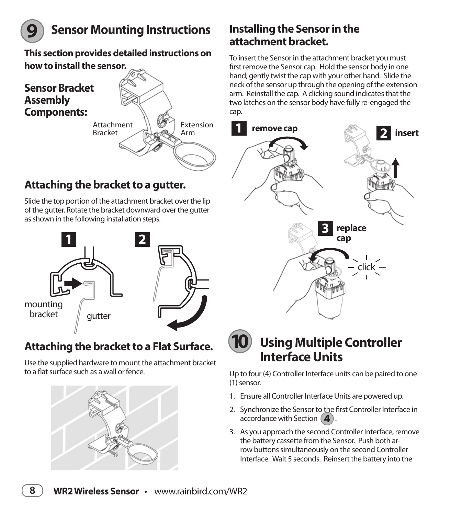

## **Sensor Mounting Instructions**

**This section provides detailed instructions on how to install the sensor.** 



### **Attaching the bracket to a gutter.**

Slide the top portion of the attachment bracket over the lip of the qutter. Rotate the bracket downward over the qutter as shown in the following installation steps.



## **Attaching the bracket to a Flat Surface.**

Use the supplied hardware to mount the attachment bracket to a flat surface such as a wall or fence



## **Installing the Sensor in the attachment bracket.**

To insert the Sensor in the attachment bracket you must first remove the Sensor cap. Hold the sensor body in one hand; gently twist the cap with your other hand. Slide the neck of the sensor up through the opening of the extension arm. Reinstall the cap. A clicking sound indicates that the two latches on the sensor body have fully re-engaged the cap.





## **Using Multiple Controller Interface Units**

Up to four (4) Controller Interface units can be paired to one (1) sensor.

- 1. Ensure all Controller Interface Units are powered up.
- 2. Synchronize the Sensor to the first Controller Interface in accordance with Section  $(4)$ .
- 3. As you approach the second Controller Interface, remove the battery cassette from the Sensor. Push both arrow buttons simultaneously on the second Controller Interface. Wait 5 seconds. Reinsert the battery into the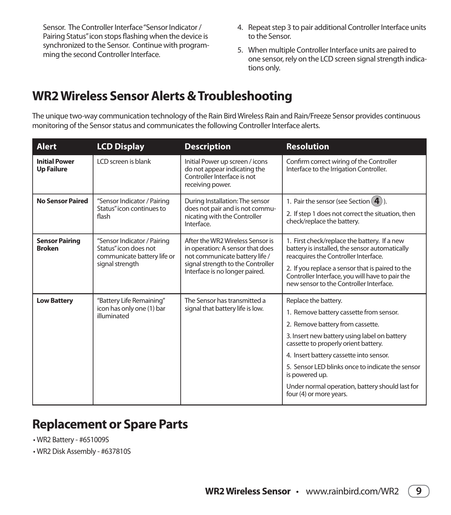Sensor. The Controller Interface "Sensor Indicator / Pairing Status" icon stops flashing when the device is synchronized to the Sensor. Continue with programming the second Controller Interface.

- 4. Repeat step 3 to pair additional Controller Interface units to the Sensor.
- 5. When multiple Controller Interface units are paired to one sensor, rely on the LCD screen signal strength indications only.

## **WR2 Wireless Sensor Alerts & Troubleshooting**

The unique two-way communication technology of the Rain Bird Wireless Rain and Rain/Freeze Sensor provides continuous monitoring of the Sensor status and communicates the following Controller Interface alerts.

| <b>Alert</b>                              | <b>LCD Display</b>                                                                                     | <b>Description</b>                                                                                                                                                            | <b>Resolution</b>                                                                                                                                                                                                                                                                                                                                                                          |
|-------------------------------------------|--------------------------------------------------------------------------------------------------------|-------------------------------------------------------------------------------------------------------------------------------------------------------------------------------|--------------------------------------------------------------------------------------------------------------------------------------------------------------------------------------------------------------------------------------------------------------------------------------------------------------------------------------------------------------------------------------------|
| <b>Initial Power</b><br><b>Up Failure</b> | LCD screen is blank                                                                                    | Initial Power up screen / icons<br>do not appear indicating the<br>Controller Interface is not<br>receiving power.                                                            | Confirm correct wiring of the Controller<br>Interface to the Irrigation Controller.                                                                                                                                                                                                                                                                                                        |
| <b>No Sensor Paired</b>                   | "Sensor Indicator / Pairing<br>Status" icon continues to<br>flash                                      | During Installation: The sensor<br>does not pair and is not commu-<br>nicating with the Controller<br>Interface.                                                              | 1. Pair the sensor (see Section $(4)$ ).<br>2. If step 1 does not correct the situation, then<br>check/replace the battery.                                                                                                                                                                                                                                                                |
| <b>Sensor Pairing</b><br><b>Broken</b>    | "Sensor Indicator / Pairing<br>Status" icon does not<br>communicate battery life or<br>signal strength | After the WR2 Wireless Sensor is<br>in operation: A sensor that does<br>not communicate battery life /<br>signal strength to the Controller<br>Interface is no longer paired. | 1. First check/replace the battery. If a new<br>battery is installed, the sensor automatically<br>reacquires the Controller Interface.<br>2. If you replace a sensor that is paired to the<br>Controller Interface, you will have to pair the<br>new sensor to the Controller Interface.                                                                                                   |
| <b>Low Battery</b>                        | "Battery Life Remaining"<br>icon has only one (1) bar<br>illuminated                                   | The Sensor has transmitted a<br>signal that battery life is low.                                                                                                              | Replace the battery.<br>1. Remove battery cassette from sensor.<br>2. Remove battery from cassette.<br>3. Insert new battery using label on battery<br>cassette to properly orient battery.<br>4. Insert battery cassette into sensor.<br>5. Sensor LED blinks once to indicate the sensor<br>is powered up.<br>Under normal operation, battery should last for<br>four (4) or more years. |

### **Replacement or Spare Parts**

• WR2 Battery - #651009S

• WR2 Disk Assembly - #637810S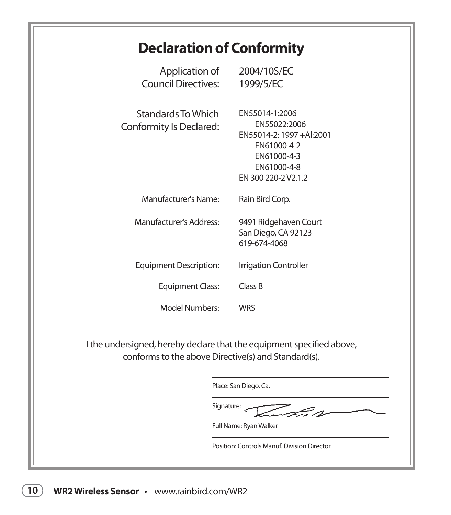## **Declaration of Conformity**

| Application of<br><b>Council Directives:</b>                                                                                 | 2004/10S/EC<br>1999/5/EC                                                                                                       |
|------------------------------------------------------------------------------------------------------------------------------|--------------------------------------------------------------------------------------------------------------------------------|
| <b>Standards To Which</b><br>Conformity Is Declared:                                                                         | EN55014-1:2006<br>EN55022:2006<br>EN55014-2: 1997 +Al:2001<br>EN61000-4-2<br>EN61000-4-3<br>EN61000-4-8<br>EN 300 220-2 V2.1.2 |
| Manufacturer's Name:                                                                                                         | Rain Bird Corp.                                                                                                                |
| Manufacturer's Address:                                                                                                      | 9491 Ridgehaven Court<br>San Diego, CA 92123<br>619-674-4068                                                                   |
| <b>Equipment Description:</b>                                                                                                | Irrigation Controller                                                                                                          |
| <b>Equipment Class:</b>                                                                                                      | Class B                                                                                                                        |
| Model Numbers:                                                                                                               | <b>WRS</b>                                                                                                                     |
| I the undersigned, hereby declare that the equipment specified above,<br>conforms to the above Directive(s) and Standard(s). |                                                                                                                                |
|                                                                                                                              | Place: San Diego, Ca.                                                                                                          |

Signature: رحيت

Full Name: Ryan Walker

Position: Controls Manuf. Division Director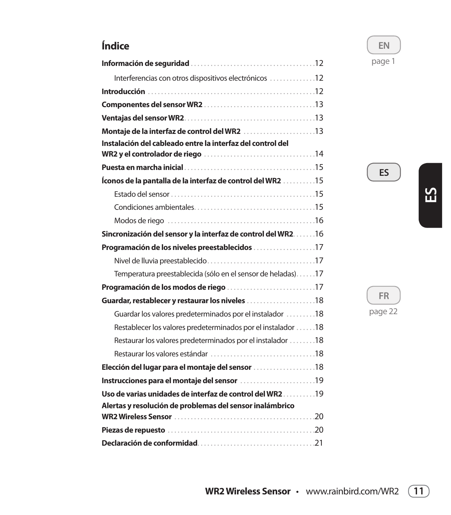### **Índice**

| Interferencias con otros dispositivos electrónicos 12          |
|----------------------------------------------------------------|
|                                                                |
|                                                                |
|                                                                |
|                                                                |
| Instalación del cableado entre la interfaz del control del     |
|                                                                |
| Íconos de la pantalla de la interfaz de control del WR2 15     |
|                                                                |
|                                                                |
|                                                                |
| Sincronización del sensor y la interfaz de control del WR2. 16 |
| Programación de los niveles preestablecidos 17                 |
|                                                                |
| Temperatura preestablecida (sólo en el sensor de heladas)17    |
|                                                                |
| Guardar, restablecer y restaurar los niveles 18                |
| Guardar los valores predeterminados por el instalador 18       |
| Restablecer los valores predeterminados por el instalador 18   |
| Restaurar los valores predeterminados por el instalador 18     |
|                                                                |
| Elección del lugar para el montaje del sensor 18               |
| Instrucciones para el montaje del sensor 19                    |
| Uso de varias unidades de interfaz de control del WR219        |
| Alertas y resolución de problemas del sensor inalámbrico       |
|                                                                |
|                                                                |

**EN** page 1

**ES**

**ES**

**FR**

page 22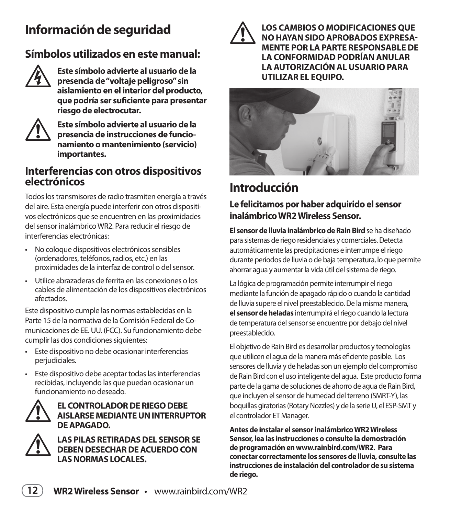## **Información de seguridad**

### **Símbolos utilizados en este manual:**



F **Este símbolo advierte al usuario de la presencia de "voltaje peligroso" sin aislamiento en el interior del producto, que podría ser suficiente para presentar riesgo de electrocutar.**



! **Este símbolo advierte al usuario de la presencia de instrucciones de funcionamiento o mantenimiento (servicio) importantes.**

### **Interferencias con otros dispositivos electrónicos**

Todos los transmisores de radio trasmiten energía a través del aire. Esta energía puede interferir con otros dispositi vos electrónicos que se encuentren en las proximidades del sensor inalámbrico WR2. Para reducir el riesgo de interferencias electrónicas:

- No coloque dispositivos electrónicos sensibles (ordenadores, teléfonos, radios, etc.) en las proximidades de la interfaz de control o del sensor.
- Utilice abrazaderas de ferrita en las conexiones o los cables de alimentación de los dispositivos electrónicos afectados.

Este dispositivo cumple las normas establecidas en la Parte 15 de la normativa de la Comisión Federal de Co municaciones de EE. UU. (FCC). Su funcionamiento debe cumplir las dos condiciones siguientes:

- Este dispositivo no debe ocasionar interferencias perjudiciales.
- Este dispositivo debe aceptar todas las interferencias recibidas, incluyendo las que puedan ocasionar un funcionamiento no deseado.



### EL CONTROLADOR DE RIEGO DEBE<br>AISLARSE MEDIANTE UN INTERRUP<br>DE APAGADO. **AISLARSE MEDIANTE UN INTERRUPTOR DE APAGADO.**



**EAS PILAS RETIRADAS DEL SENSOR SE<br>DEBEN DESECHAR DE ACUERDO CON<br>LAS NORMAS LOCALES. DEBEN DESECHAR DE ACUERDO CON LAS NORMAS LOCALES.** 



! **LOS CAMBIOS O MODIFICACIONES QUE NO HAYAN SIDO APROBADOS EXPRESA-MENTE POR LA PARTE RESPONSABLE DE LA CONFORMIDAD PODRÍAN ANULAR LA AUTORIZACIÓN AL USUARIO PARA UTILIZAR EL EQUIPO.**



## **Introducción**

### **Le felicitamos por haber adquirido el sensor inalámbrico WR2 Wireless Sensor.**

**El sensor de lluvia inalámbrico de Rain Bird** se ha diseñado para sistemas de riego residenciales y comerciales. Detecta automáticamente las precipitaciones e interrumpe el riego durante períodos de lluvia o de baja temperatura, lo que permite ahorrar agua y aumentar la vida útil del sistema de riego.

La lógica de programación permite interrumpir el riego mediante la función de apagado rápido o cuando la cantidad de lluvia supere el nivel preestablecido. De la misma manera, **el sensor de heladas** interrumpirá el riego cuando la lectura de temperatura del sensor se encuentre por debajo del nivel preestablecido.

El objetivo de Rain Bird es desarrollar productos y tecnologías que utilicen el aqua de la manera más eficiente posible. Los sensores de lluvia y de heladas son un ejemplo del compromiso de Rain Bird con el uso inteligente del agua. Este producto forma parte de la gama de soluciones de ahorro de agua de Rain Bird, que incluyen el sensor de humedad del terreno (SMRT-Y), las boquillas giratorias (Rotary Nozzles) y de la serie U, el ESP-SMT y el controlador ET Manager.

**Antes de instalar el sensor inalámbrico WR2 Wireless Sensor, lea las instrucciones o consulte la demostración de programación en www.rainbird.com/WR2. Para conectar correctamente los sensores de lluvia, consulte las instrucciones de instalación del controlador de su sistema de riego.**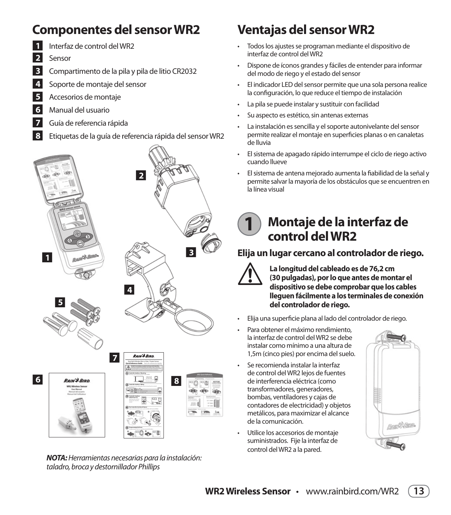## **Componentes del sensor WR2**

- Q**<sup>1</sup>** Interfaz de control del WR2
- Q**<sup>2</sup>** Sensor
- Q**<sup>3</sup>** Compartimento de la pila y pila de litio CR2032
- 4 Soporte de montaje del sensor
- Accesorios de montaje
- Q**<sup>6</sup>** Manual del usuario
- Q**<sup>7</sup>** Guía de referencia rápida
- Q**<sup>8</sup>** Etiquetas de la guía de referencia rápida del sensor WR2



*NOTA:* Herramientas necesarias para la instalación: taladro, broca y destornillador Phillips

## **Ventajas del sensor WR2**

- Todos los ajustes se programan mediante el dispositivo de interfaz de control del WR2
- · Dispone de íconos grandes y fáciles de entender para informar del modo de riego y el estado del sensor
- El indicador LED del sensor permite que una sola persona realice la configuración, lo que reduce el tiempo de instalación
- La pila se puede instalar y sustituir con facilidad
- Su aspecto es estético, sin antenas externas
- · La instalación es sencilla y el soporte autonivelante del sensor permite realizar el montaje en superficies planas o en canaletas de lluvia
- · El sistema de apagado rápido interrumpe el ciclo de riego activo cuando llueve
- El sistema de antena mejorado aumenta la fiabilidad de la señal y permite salvar la mayoría de los obstáculos que se encuentren en la línea visual

### **Montaje de la interfaz de control del WR2 1**

### **Elija un lugar cercano al controlador de riego.**



La longitud del cableado es de 76,2 cm<br>
(30 pulgadas), por lo que antes de mon<br>
dispositivo se debe comprobar que los **(30 pulgadas), por lo que antes de montar el dispositivo se debe comprobar que los cables lleguen fácilmente a los terminales de conexión del controlador de riego.** 

- Elija una superficie plana al lado del controlador de riego.
- Para obtener el máximo rendimiento. la interfaz de control del WR2 se debe instalar como mínimo a una altura de 1,5m (cinco pies) por encima del suelo.
- Se recomienda instalar la interfaz de control del WR2 lejos de fuentes de interferencia eléctrica (como transformadores, generadores, bombas, ventiladores y cajas de contadores de electricidad) y objetos metálicos, para maximizar el alcance de la comunicación.
- Utilice los accesorios de montaje suministrados. Fije la interfaz de control del WR2 a la pared.



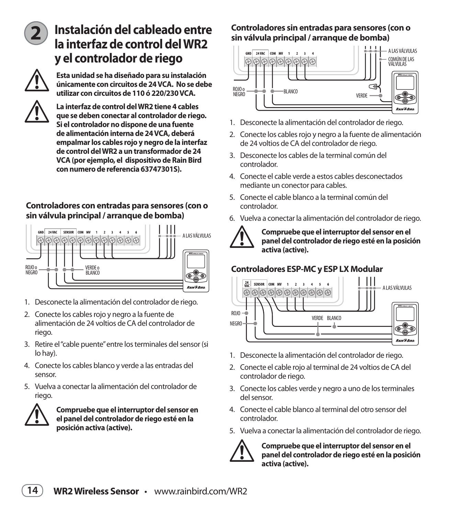

## **Instalación del cableado entre la interfaz de control del WR2 y el controlador de riego**



! **Esta unidad se ha diseñado para su instalación únicamente con circuitos de 24 VCA. No se debe utilizar con circuitos de 110 ó 220/230 VCA.** 



La interfaz de control del WR2 tiene 4 cables<br>que se deben conectar al controlador de rieg<br>Si el controlador no dispone de una fuente **que se deben conectar al controlador de riego. Si el controlador no dispone de una fuente de alimentación interna de 24 VCA, deberá empalmar los cables rojo y negro de la interfaz de control del WR2 a un transformador de 24 VCA (por ejemplo, el dispositivo de Rain Bird con numero de referencia 63747301S).**

### **Controladores con entradas para sensores (con o sin válvula principal / arranque de bomba)**



- 1. Desconecte la alimentación del controlador de riego.
- 2. Conecte los cables rojo y negro a la fuente de alimentación de 24 voltios de CA del controlador de riego.
- 3. Retire el "cable puente" entre los terminales del sensor (si lo hay).
- 4. Conecte los cables blanco y verde a las entradas del sensor.
- 5 Vuelva a conectar la alimentación del controlador de riego.



! **Compruebe que el interruptor del sensor en el panel del controlador de riego esté en la posición activa (active).** 

#### **Controladores sin entradas para sensores (con o sin válvula principal / arranque de bomba)**



- 1. Desconecte la alimentación del controlador de riego.
- 2. Conecte los cables rojo y negro a la fuente de alimentación de 24 voltios de CA del controlador de riego.
- 3. Desconecte los cables de la terminal común del controlador.
- 4. Conecte el cable verde a estos cables desconectados mediante un conector para cables.
- 5. Conecte el cable blanco a la terminal común del controlador.
- 6. Vuelva a conectar la alimentación del controlador de riego.



Compruebe que el interruptor del sensor en el<br>
panel del controlador de riego esté en la posici<br>
activa (active). **panel del controlador de riego esté en la posición activa (active).** 

### **Controladores ESP-MC y ESP LX Modular**



- 1. Desconecte la alimentación del controlador de riego.
- 2. Conecte el cable rojo al terminal de 24 voltios de CA del controlador de riego.
- 3. Conecte los cables verde y negro a uno de los terminales del sensor.
- 4. Conecte el cable blanco al terminal del otro sensor del controlador.
- 5. Vuelva a conectar la alimentación del controlador de riego.



Compruebe que el interruptor del sensor en el<br>
panel del controlador de riego esté en la posici<br>
activa (active). **panel del controlador de riego esté en la posición activa (active).** 

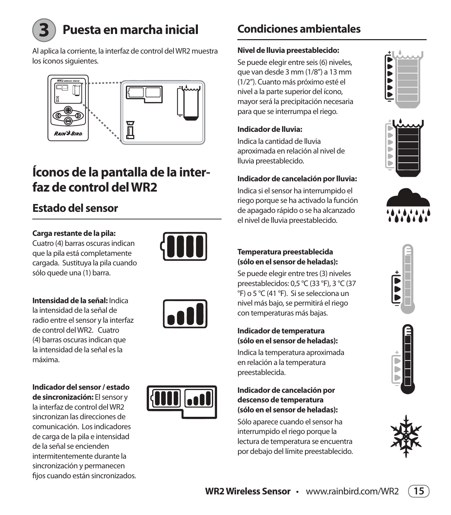

## **Puesta en marcha inicial**

Al aplica la corriente, la interfaz de control del WR2 muestra los íconos siguientes.



## **Íconos de la pantalla de la interfaz de control del WR2**

## **Estado del sensor**

#### **Carga restante de la pila:**

Cuatro (4) barras oscuras indican que la pila está completamente cargada. Sustituya la pila cuando sólo quede una (1) barra.



#### **Intensidad de la señal:** Indica

la intensidad de la señal de radio entre el sensor y la interfaz de control del WR2. Cuatro (4) barras oscuras indican que la intensidad de la señal es la máxima.

**Indicador del sensor / estado de sincronización:** El sensor y la interfaz de control del WR2 sincronizan las direcciones de comunicación. Los indicadores de carga de la pila e intensidad de la señal se encienden intermitentemente durante la sincronización y permanecen fijos cuando están sincronizados.





## **Condiciones ambientales**

#### **Nivel de lluvia preestablecido:**

Se puede elegir entre seis (6) niveles, que van desde 3 mm (1/8") a 13 mm (1/2"). Cuanto más próximo esté el nivel a la parte superior del ícono, mayor será la precipitación necesaria para que se interrumpa el riego.

#### **Indicador de lluvia:**

Indica la cantidad de lluvia aproximada en relación al nivel de lluvia preestablecido.

### **Indicador de cancelación por lluvia:**

Indica si el sensor ha interrumpido el riego porque se ha activado la función de apagado rápido o se ha alcanzado el nivel de lluvia preestablecido.







#### **Temperatura preestablecida (sólo en el sensor de heladas):**

Se puede elegir entre tres (3) niveles preestablecidos: 0,5 °C (33 °F), 3 °C (37 °F) o 5 °C (41 °F). Si se selecciona un nivel más bajo, se permitirá el riego con temperaturas más bajas.

#### **Indicador de temperatura (sólo en el sensor de heladas):**

Indica la temperatura aproximada en relación a la temperatura preestablecida.

#### **Indicador de cancelación por descenso de temperatura (sólo en el sensor de heladas):**

Sólo aparece cuando el sensor ha interrumpido el riego porque la lectura de temperatura se encuentra por debajo del límite preestablecido.







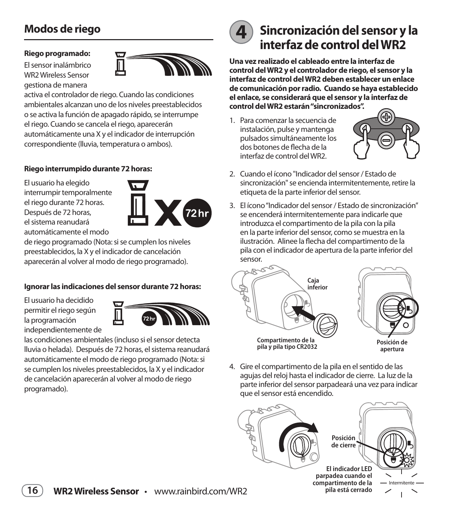### **Modos de riego**

#### **Riego programado:**

El sensor inalámbrico WR2 Wireless Sensor gestiona de manera



activa el controlador de riego. Cuando las condiciones ambientales alcanzan uno de los niveles preestablecidos o se activa la función de apagado rápido, se interrumpe el riego. Cuando se cancela el riego, aparecerán automáticamente una X y el indicador de interrupción correspondiente (lluvia, temperatura o ambos).

#### **Riego interrumpido durante 72 horas:**

El usuario ha elegido interrumpir temporalmente el riego durante 72 horas. Después de 72 horas, el sistema reanudará automáticamente el modo



de riego programado (Nota: si se cumplen los niveles preestablecidos, la X y el indicador de cancelación aparecerán al volver al modo de riego programado).

#### **Ignorar las indicaciones del sensor durante 72 horas:**

El usuario ha decidido permitir el riego según la programación independientemente de



las condiciones ambientales (incluso si el sensor detecta lluvia o helada). Después de 72 horas, el sistema reanudará automáticamente el modo de riego programado (Nota: si se cumplen los niveles preestablecidos, la X y el indicador de cancelación aparecerán al volver al modo de riego programado).



## **4 Sincronización del sensor y la interfaz de control del WR2**

**Una vez realizado el cableado entre la interfaz de control del WR2 y el controlador de riego, el sensor y la interfaz de control del WR2 deben establecer un enlace de comunicación por radio. Cuando se haya establecido el enlace, se considerará que el sensor y la interfaz de control del WR2 estarán "sincronizados".**

1. Para comenzar la secuencia de instalación, pulse y mantenga pulsados simultáneamente los dos botones de flecha de la interfaz de control del WR2.



- 2. Cuando el ícono "Indicador del sensor / Estado de sincronización" se encienda intermitentemente, retire la etiqueta de la parte inferior del sensor.
- 3. El ícono "Indicador del sensor / Estado de sincronización" se encenderá intermitentemente para indicarle que introduzca el compartimento de la pila con la pila en la parte inferior del sensor, como se muestra en la ilustración. Alinee la flecha del compartimento de la pila con el indicador de apertura de la parte inferior del sensor.





4. Gire el compartimento de la pila en el sentido de las aquias del reloj hasta el indicador de cierre. La luz de la parte inferior del sensor parpadeará una vez para indicar que el sensor está encendido.



**El indicador LED parpadea cuando el compartimento de la pila está cerrado**

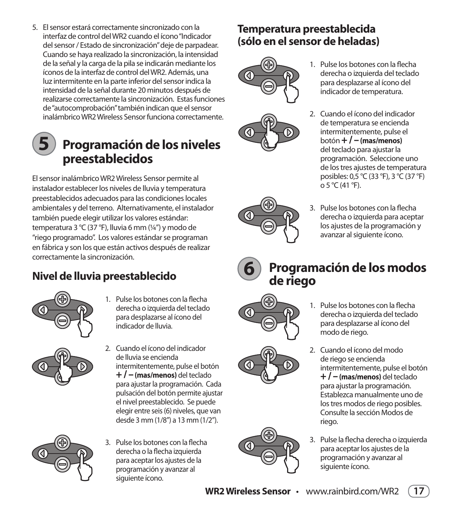5. El sensor estará correctamente sincronizado con la interfaz de control del WR2 cuando el ícono "Indicador del sensor / Estado de sincronización" deje de parpadear. Cuando se haya realizado la sincronización, la intensidad de la señal y la carga de la pila se indicarán mediante los íconos de la interfaz de control del WR2. Además, una luz intermitente en la parte inferior del sensor indica la intensidad de la señal durante 20 minutos después de realizarse correctamente la sincronización. Estas funciones de "autocomprobación" también indican que el sensor inalámbrico WR2 Wireless Sensor funciona correctamente

# **5**

## **Programación de los niveles preestablecidos**

El sensor inalámbrico WR2 Wireless Sensor permite al instalador establecer los niveles de lluvia y temperatura preestablecidos adecuados para las condiciones locales ambientales y del terreno. Alternativamente, el instalador también puede elegir utilizar los valores estándar: temperatura 3 °C (37 °F), lluvia 6 mm (¼″) y modo de "riego programado". Los valores estándar se programan en fábrica y son los que están activos después de realizar correctamente la sincronización.

## **Nivel de lluvia preestablecido**



1. Pulse los botones con la flecha derecha o izquierda del teclado para desplazarse al ícono del indicador de lluvia.



2. Cuando el ícono del indicador de lluvia se encienda intermitentemente, pulse el botón **+ / – (mas/menos)** del teclado para ajustar la programación. Cada pulsación del botón permite ajustar el nivel preestablecido. Se puede elegir entre seis (6) niveles, que van desde 3 mm (1/8") a 13 mm (1/2").



3. Pulse los botones con la flecha derecha o la flecha izquierda para aceptar los ajustes de la programación y avanzar al siguiente ícono.

## **Temperatura preestablecida (sólo en el sensor de heladas)**





- 1 Pulse los botones con la flecha derecha o izquierda del teclado para desplazarse al ícono del indicador de temperatura.
- 2. Cuando el ícono del indicador de temperatura se encienda intermitentemente, pulse el botón **+ / – (mas/menos)** del teclado para ajustar la programación. Seleccione uno de los tres ajustes de temperatura posibles: 0,5 °C (33 °F), 3 °C (37 °F)  $0.5 \text{ °C}$  (41 °F).
- 3. Pulse los botones con la flecha derecha o izquierda para aceptar los ajustes de la programación y avanzar al siguiente ícono.
- **Programación de los modos de riego**



**6**

- 1 Pulse los botones con la flecha derecha o izquierda del teclado para desplazarse al ícono del modo de riego.
- 2. Cuando el ícono del modo de riego se encienda intermitentemente, pulse el botón **+ / – (mas/menos)** del teclado para ajustar la programación. Establezca manualmente uno de los tres modos de riego posibles. Consulte la sección Modos de riego.
- 3. Pulse la flecha derecha o izquierda para aceptar los ajustes de la programación y avanzar al siguiente ícono.



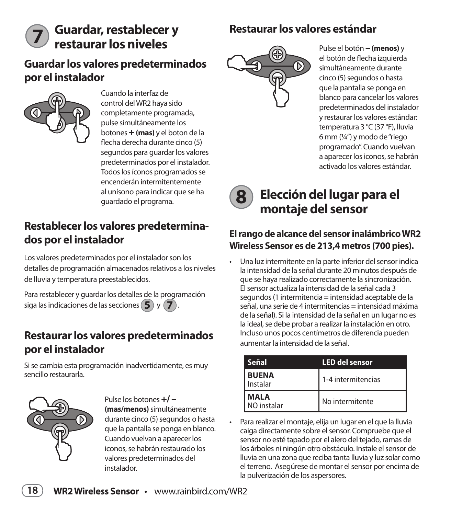# **restaurar los niveles**

### Guardar, restablecer y **Restaurar los valores estándar**

### **Guardar los valores predeterminados por el instalador**



**7**

Cuando la interfaz de control del WR2 haya sido completamente programada, pulse simultáneamente los botones **+ (mas)** y el boton de la flecha derecha durante cinco (5) segundos para guardar los valores predeterminados por el instalador. Todos los íconos programados se encenderán intermitentemente al unísono para indicar que se ha guardado el programa.

### **Restablecer los valores predeterminados por el instalador**

Los valores predeterminados por el instalador son los detalles de programación almacenados relativos a los niveles de lluvia y temperatura preestablecidos.

Para restablecer y quardar los detalles de la programación siga las indicaciones de las secciones **5** y **7** .

### **Restaurar los valores predeterminados por el instalador**

Si se cambia esta programación inadvertidamente, es muy sencillo restaurarla.



Pulse los botones  $+/-$ **(mas/menos)** simultáneamente durante cinco (5) segundos o hasta que la pantalla se ponga en blanco. Cuando vuelvan a aparecer los iconos, se habrán restaurado los valores predeterminados del instalador.



Pulse el botón – (menos) y el botón de flecha izquierda simultáneamente durante cinco (5) segundos o hasta que la pantalla se ponga en blanco para cancelar los valores predeterminados del instalador y restaurar los valores estándar: temperatura 3 °C (37 °F), lluvia 6 mm (¼") y modo de "riego programado". Cuando vuelvan a aparecer los iconos, se habrán activado los valores estándar.



## **Elección del lugar para el montaje del sensor**

### **El rango de alcance del sensor inalámbrico WR2 Wireless Sensor es de 213,4 metros (700 pies).**

• Una luz intermitente en la parte inferior del sensor indica la intensidad de la señal durante 20 minutos después de que se haya realizado correctamente la sincronización. El sensor actualiza la intensidad de la señal cada 3 segundos (1 intermitencia = intensidad aceptable de la señal, una serie de 4 intermitencias = intensidad máxima de la señal). Si la intensidad de la señal en un lugar no es la ideal, se debe probar a realizar la instalación en otro. Incluso unos pocos centímetros de diferencia pueden aumentar la intensidad de la señal.

| Señal                      | <b>LED del sensor</b> |
|----------------------------|-----------------------|
| <b>BUENA</b><br>Instalar   | 1-4 intermitencias    |
| <b>MALA</b><br>NO instalar | No intermitente       |

· Para realizar el montaje, elija un lugar en el que la lluvia caiga directamente sobre el sensor. Compruebe que el sensor no esté tapado por el alero del tejado, ramas de los árboles ni ningún otro obstáculo. Instale el sensor de Iluvia en una zona que reciba tanta lluvia y luz solar como el terreno. Asegúrese de montar el sensor por encima de la pulverización de los aspersores.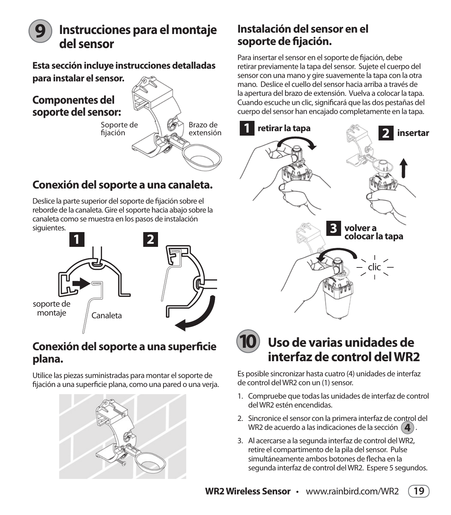### **Instrucciones para el montaje del sensor 9**

**Esta sección incluye instrucciones detalladas para instalar el sensor.** 

**Componentes del soporte del sensor:**



## **Conexión del soporte a una canaleta.**

Deslice la parte superior del soporte de fijación sobre el reborde de la canaleta. Gire el soporte hacia abajo sobre la canaleta como se muestra en los pasos de instalación siguientes.



### **Conexión del soporte a una superficie plana.**

Utilice las piezas suministradas para montar el soporte de fijación a una superficie plana, como una pared o una veria.



### **Instalación del sensor en el soporte de fijación.**

Para insertar el sensor en el soporte de fijación, debe retirar previamente la tapa del sensor. Sujete el cuerpo del sensor con una mano y gire suavemente la tapa con la otra mano. Deslice el cuello del sensor hacia arriba a través de la apertura del brazo de extensión. Vuelva a colocar la tapa. Cuando escuche un clic, significará que las dos pestañas del cuerpo del sensor han encajado completamente en la tapa.





## **Uso de varias unidades de interfaz de control del WR2**

Es posible sincronizar hasta cuatro (4) unidades de interfaz de control del WR2 con un (1) sensor.

- 1. Compruebe que todas las unidades de interfaz de control del WR2 estén encendidas.
- 2. Sincronice el sensor con la primera interfaz de control del WR2 de acuerdo a las indicaciones de la sección ( $\blacktriangle$ ).
- 3. Al acercarse a la segunda interfaz de control del WR2, retire el compartimento de la pila del sensor. Pulse simultáneamente ambos botones de flecha en la segunda interfaz de control del WR2. Espere 5 segundos.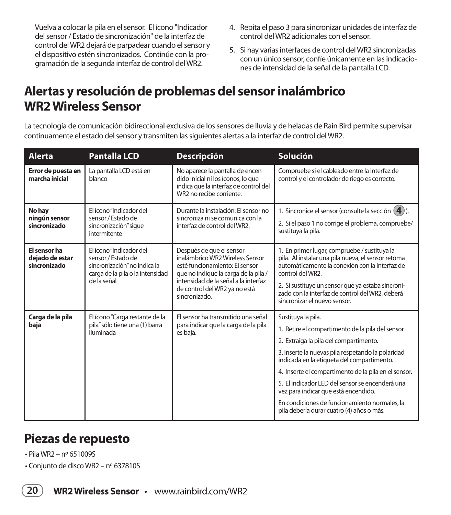Vuelva a colocar la pila en el sensor. El ícono "Indicador del sensor / Estado de sincronización" de la interfaz de control del WR2 dejará de parpadear cuando el sensor y el dispositivo estén sincronizados. Continúe con la pro gramación de la segunda interfaz de control del WR2.

- 4. Repita el paso 3 para sincronizar unidades de interfaz de control del WR2 adicionales con el sensor.
- 5. Si hay varias interfaces de control del WR2 sincronizadas con un único sensor, confíe únicamente en las indicaciones de intensidad de la señal de la pantalla LCD.

## **Alertas y resolución de problemas del sensor inalámbrico WR2 Wireless Sensor**

La tecnología de comunicación bidireccional exclusiva de los sensores de lluvia y de heladas de Rain Bird permite supervisar continuamente el estado del sensor y transmiten las siguientes alertas a la interfaz de control del WR2.

| <b>Alerta</b>                                   | <b>Pantalla LCD</b>                                                                                                              | <b>Descripción</b>                                                                                                                                                                                                              | <b>Solución</b>                                                                                                                                                                                                                                                                                                                                                                                                                                                       |
|-------------------------------------------------|----------------------------------------------------------------------------------------------------------------------------------|---------------------------------------------------------------------------------------------------------------------------------------------------------------------------------------------------------------------------------|-----------------------------------------------------------------------------------------------------------------------------------------------------------------------------------------------------------------------------------------------------------------------------------------------------------------------------------------------------------------------------------------------------------------------------------------------------------------------|
| Error de puesta en<br>marcha inicial            | La pantalla LCD está en<br>blanco                                                                                                | No aparece la pantalla de encen-<br>dido inicial ni los íconos, lo que<br>indica que la interfaz de control del<br>WR2 no recibe corriente.                                                                                     | Compruebe si el cableado entre la interfaz de<br>control y el controlador de riego es correcto.                                                                                                                                                                                                                                                                                                                                                                       |
| No hay<br>ningún sensor<br>sincronizado         | El ícono "Indicador del<br>sensor / Estado de<br>sincronización" sigue<br>intermitente                                           | Durante la instalación: El sensor no<br>sincroniza ni se comunica con la<br>interfaz de control del WR2.                                                                                                                        | 1. Sincronice el sensor (consulte la sección $(4)$ ).<br>2. Si el paso 1 no corrige el problema, compruebe/<br>sustituya la pila.                                                                                                                                                                                                                                                                                                                                     |
| El sensor ha<br>dejado de estar<br>sincronizado | El ícono "Indicador del<br>sensor / Estado de<br>sincronización" no indica la<br>carga de la pila o la intensidad<br>de la señal | Después de que el sensor<br>inalámbrico WR2 Wireless Sensor<br>esté funcionamiento: El sensor<br>que no indique la carga de la pila /<br>intensidad de la señal a la interfaz<br>de control del WR2 ya no está<br>sincronizado. | 1. En primer lugar, compruebe / sustituya la<br>pila. Al instalar una pila nueva, el sensor retoma<br>automáticamente la conexión con la interfaz de<br>control del WR2.<br>2. Si sustituye un sensor que ya estaba sincroni-<br>zado con la interfaz de control del WR2, deberá<br>sincronizar el nuevo sensor.                                                                                                                                                      |
| Carga de la pila<br>baja                        | El ícono "Carga restante de la<br>pila" sólo tiene una (1) barra<br>iluminada                                                    | El sensor ha transmitido una señal<br>para indicar que la carga de la pila<br>es baja.                                                                                                                                          | Sustituya la pila.<br>1. Retire el compartimento de la pila del sensor.<br>2. Extraiga la pila del compartimento.<br>3. Inserte la nuevas pila respetando la polaridad<br>indicada en la etiqueta del compartimento.<br>4. Inserte el compartimento de la pila en el sensor.<br>5. El indicador LED del sensor se encenderá una<br>vez para indicar que está encendido.<br>En condiciones de funcionamiento normales, la<br>pila debería durar cuatro (4) años o más. |

## **Piezas de repuesto**

- $\cdot$  Pila WR2 nº 651009S
- Conjunto de disco WR2 nº 637810S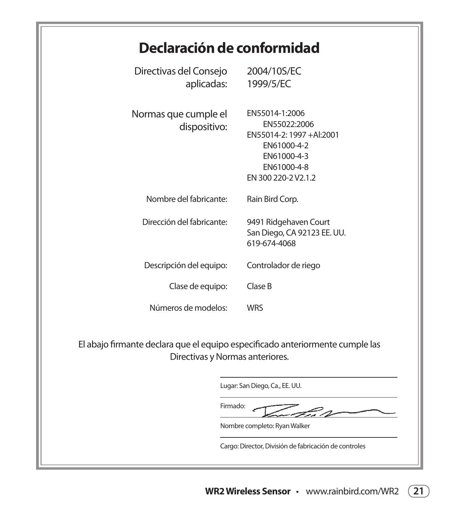## **Declaración de conformidad**

| Directivas del Consejo<br>aplicadas:                                                                             | 2004/10S/EC<br>1999/5/EC                                                                                                       |  |  |
|------------------------------------------------------------------------------------------------------------------|--------------------------------------------------------------------------------------------------------------------------------|--|--|
| Normas que cumple el<br>dispositivo:                                                                             | EN55014-1:2006<br>EN55022:2006<br>EN55014-2: 1997 +Al:2001<br>EN61000-4-2<br>EN61000-4-3<br>EN61000-4-8<br>EN 300 220-2 V2.1.2 |  |  |
| Nombre del fabricante:                                                                                           | Rain Bird Corp.                                                                                                                |  |  |
| Dirección del fabricante:                                                                                        | 9491 Ridgehaven Court<br>San Diego, CA 92123 EE. UU.<br>619-674-4068                                                           |  |  |
| Descripción del equipo:                                                                                          | Controlador de riego                                                                                                           |  |  |
| Clase de equipo:                                                                                                 | Clase B                                                                                                                        |  |  |
| Números de modelos:                                                                                              | <b>WRS</b>                                                                                                                     |  |  |
| El abajo firmante declara que el equipo especificado anteriormente cumple las<br>Directivas y Normas anteriores. |                                                                                                                                |  |  |

Lugar: San Diego, Ca., EE. UU.

Firmado: - 200

Nombre completo: Ryan Walker

Cargo: Director, División de fabricación de controles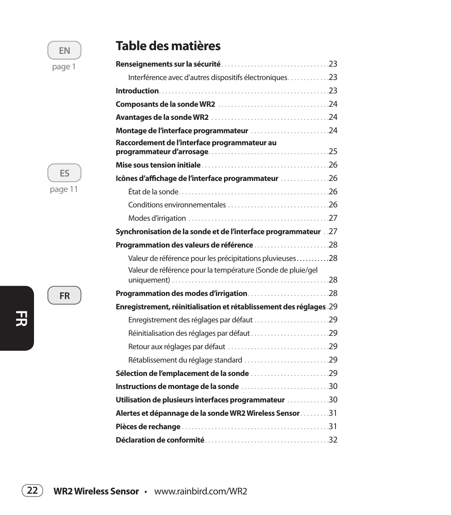## **EN** page 1

**ES** page 11

**FR**

## **Table des matières**

| Interférence avec d'autres dispositifs électroniques23              |  |
|---------------------------------------------------------------------|--|
|                                                                     |  |
|                                                                     |  |
|                                                                     |  |
| Montage de l'interface programmateur 24                             |  |
| Raccordement de l'interface programmateur au                        |  |
|                                                                     |  |
| Icônes d'affichage de l'interface programmateur 26                  |  |
|                                                                     |  |
|                                                                     |  |
|                                                                     |  |
| Synchronisation de la sonde et de l'interface programmateur 27      |  |
| Programmation des valeurs de référence 28                           |  |
| Valeur de référence pour les précipitations pluvieuses28            |  |
| Valeur de référence pour la température (Sonde de pluie/gel         |  |
| Programmation des modes d'irrigation28                              |  |
| Enregistrement, réinitialisation et rétablissement des réglages .29 |  |
| Enregistrement des réglages par défaut 29                           |  |
| Réinitialisation des réglages par défaut 29                         |  |
|                                                                     |  |
| Rétablissement du réglage standard 29                               |  |
| Sélection de l'emplacement de la sonde 29                           |  |
| Instructions de montage de la sonde 30                              |  |
| Utilisation de plusieurs interfaces programmateur 30                |  |
| Alertes et dépannage de la sonde WR2 Wireless Sensor 31             |  |
|                                                                     |  |
|                                                                     |  |

**FR**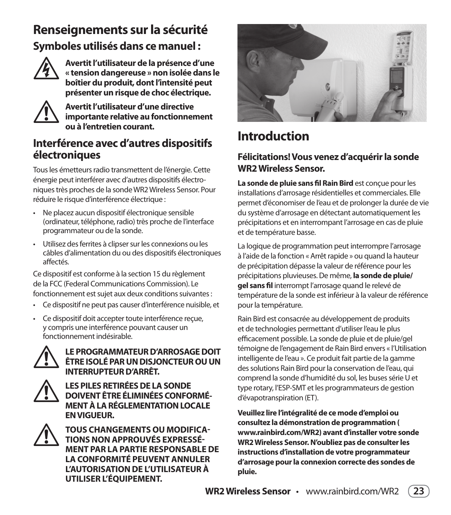## **Renseignements sur la sécurité Symboles utilisés dans ce manuel :**



Avertit l'utilisateur de la présence d'une<br>
« tension dangereuse » non isolée dans le<br>
boîtier du produit, dont l'intensité peut **« tension dangereuse » non isolée dans le boîtier du produit, dont l'intensité peut présenter un risque de choc électrique.**



! **Avertit l'utilisateur d'une directive importante relative au fonctionnement ou à l'entretien courant.**

### **Interférence avec d'autres dispositifs électroniques**

Tous les émetteurs radio transmettent de l'énergie. Cette énergie peut interférer avec d'autres dispositifs électro niques très proches de la sonde WR2 Wireless Sensor. Pour réduire le risque d'interférence électrique :

- Ne placez aucun dispositif électronique sensible (ordinateur, téléphone, radio) très proche de l'interface programmateur ou de la sonde.
- Utilisez des ferrites à clipser sur les connexions ou les câbles d'alimentation du ou des dispositifs électroniques affectés.

Ce dispositif est conforme à la section 15 du règlement de la FCC (Federal Communications Commission). Le fonctionnement est suiet aux deux conditions suivantes :

- Ce dispositif ne peut pas causer d'interférence nuisible, et
- Ce dispositif doit accepter toute interférence reçue, y compris une interférence pouvant causer un fonctionnement indésirable



### LE PROGRAMMATEUR D'ARROSAGE DOIT<br>
ETRE ISOLÉ PAR UN DISJONCTEUR OU UN<br>
INTERRUPTEUR D'ARRÊT. **ÊTRE ISOLÉ PAR UN DISJONCTEUR OU UN INTERRUPTEUR D'ARRÊT.**



LES PILES RETIRÉES DE LA SONDE DOIVENT ÊTRE ÉLIMINÉES CONFO **DOIVENT ÊTRE ÉLIMINÉES CONFORMÉ-MENT À LA RÉGLEMENTATION LOCALE EN VIGUEUR.** 



! **TOUS CHANGEMENTS OU MODIFICA-TIONS NON APPROUVÉS EXPRESSÉ-MENT PAR LA PARTIE RESPONSABLE DE LA CONFORMITÉ PEUVENT ANNULER L'AUTORISATION DE L'UTILISATEUR À UTILISER L'ÉQUIPEMENT.**



## **Introduction**

### **Félicitations! Vous venez d'acquérir la sonde WR2 Wireless Sensor.**

**La sonde de pluie sans fil Rain Bird** est conçue pour les installations d'arrosage résidentielles et commerciales. Elle permet d'économiser de l'eau et de prolonger la durée de vie du système d'arrosage en détectant automatiquement les précipitations et en interrompant l'arrosage en cas de pluie et de température basse.

La logique de programmation peut interrompre l'arrosage à l'aide de la fonction « Arrêt rapide » ou quand la hauteur de précipitation dépasse la valeur de référence pour les précipitations pluvieuses. De même, la sonde de pluie/ **gel sans fil** interrompt l'arrosage quand le relevé de température de la sonde est inférieur à la valeur de référence pour la température.

Rain Bird est consacrée au développement de produits et de technologies permettant d'utiliser l'eau le plus efficacement possible. La sonde de pluie et de pluie/gel témoigne de l'engagement de Rain Bird envers « l'Utilisation intelligente de l'eau ». Ce produit fait partie de la gamme des solutions Rain Bird pour la conservation de l'eau, qui comprend la sonde d'humidité du sol, les buses série U et type rotary, l'ESP-SMT et les programmateurs de gestion d'évapotranspiration (ET).

**Veuillez lire l'intégralité de ce mode d'emploi ou consultez la démonstration de programmation ( www.rainbird.com/WR2) avant d'installer votre sonde WR2 Wireless Sensor. N'oubliez pas de consulter les instructions d'installation de votre programmateur d'arrosage pour la connexion correcte des sondes de pluie.**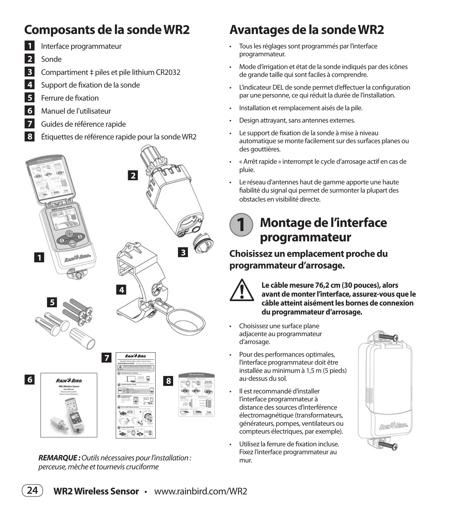## **Composants de la sonde WR2**



- **1** Interface programmateur
- **2** Sonde
- **3** Compartiment  $\ddagger$  piles et pile lithium CR2032
	- Support de fixation de la sonde
- **5** Ferrure de fixation
- **6** Manuel de l'utilisateur
- **7** Guides de référence rapide
- Q**<sup>8</sup>** Étiquettes de référence rapide pour la sonde WR2

## Q**2**  $\frac{1}{\sqrt{2}}$   $\frac{1}{\sqrt{2}}$   $\frac{1}{\sqrt{2}}$   $\frac{1}{\sqrt{2}}$   $\frac{1}{\sqrt{2}}$ Q**4** Q**5 RAIN & BIRD** Q**7** Rain Bird's Wireless Rain or Rain / Freeze Sensor **Quick Reference Guide Guía de referencia rápida**  $\mathbb{A}$ **Montaje de la interfaz del Control WR2 1 6** RAIN<sup>\$</sup>*BIRD* **Q Q Q Q Q Q Q Q** Cable length







*REMARQUE :* Outils nécessaires pour l'installation : perceuse, mèche et tournevis cruciforme

## **Avantages de la sonde WR2**

- Tous les réglages sont programmés par l'interface programmateur.
- Mode d'irrigation et état de la sonde indiqués par des icônes de grande taille qui sont faciles à comprendre.
- L'indicateur DEL de sonde permet d'effectuer la configuration par une personne, ce qui réduit la durée de l'installation.
- Installation et remplacement aisés de la pile.
- Design attrayant, sans antennes externes.
- Le support de fixation de la sonde à mise à niveau automatique se monte facilement sur des surfaces planes ou des gouttières.
- « Arrêt rapide » interrompt le cycle d'arrosage actif en cas de pluie.
- Le réseau d'antennes haut de gamme apporte une haute fiabilité du signal qui permet de surmonter la plupart des obstacles en visibilité directe.

### **Montage de l'interface programmateur 1**

**Choisissez un emplacement proche du programmateur d'arrosage.**



Le câble mesure 76,2 cm (30 pouces), alors<br>avant de monter l'interface, assurez-vous q<br>câble atteint aisément les bornes de conne **avant de monter l'interface, assurez-vous que le câble atteint aisément les bornes de connexion du programmateur d'arrosage.** 

- Choisissez une surface plane adjacente au programmateur d'arrosage.
- Pour des performances optimales, l'interface programmateur doit être installée au minimum à 1,5 m (5 pieds) au-dessus du sol.
- Il est recommandé d'installer l'interface programmateur à distance des sources d'interférence électromagnétique (transformateurs, générateurs, pompes, ventilateurs ou compteurs électriques, par exemple).
- Utilisez la ferrure de fixation incluse. Fixez l'interface programmateur au mur.

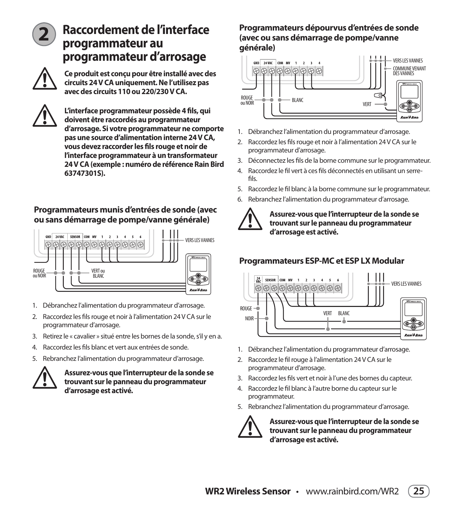

## **Raccordement de l'interface programmateur au programmateur d'arrosage**



! **Ce produit est conçu pour être installé avec des circuits 24 V CA uniquement. Ne l'utilisez pas avec des circuits 110 ou 220/230 V CA.** 



! **L'interface programmateur possède 4 fils, qui d'arrosage. Si votre programmateur ne comporte doivent être raccordés au programmateur pas une source d'alimentation interne 24 V CA, vous devez raccorder les fils rouge et noir de l'interface programmateur à un transformateur 24 V CA (exemple : numéro de référence Rain Bird 63747301S).**

#### **Programmateurs munis d'entrées de sonde (avec ou sans démarrage de pompe/vanne générale)**



- 1. Débranchez l'alimentation du programmateur d'arrosage.
- 2. Raccordez les fils rouge et noir à l'alimentation 24 V CA sur le programmateur d'arrosage.
- 3. Retirez le « cavalier » situé entre les bornes de la sonde, s'il y en a.
- 4. Raccordez les fils blanc et vert aux entrées de sonde.
- 5. Rebranchez l'alimentation du programmateur d'arrosage.



! **Assurez-vous que l'interrupteur de la sonde se trouvant sur le panneau du programmateur d'arrosage est activé.** 

### **Programmateurs dépourvus d'entrées de sonde (avec ou sans démarrage de pompe/vanne générale)**



- 1. Débranchez l'alimentation du programmateur d'arrosage.
- 2. Raccordez les fils rouge et noir à l'alimentation 24 V CA sur le programmateur d'arrosage.
- 3. Déconnectez les fils de la borne commune sur le programmateur.
- 4 Baccordez le fil vert à ces fils déconnectés en utilisant un serrefils.
- 5. Raccordez le fil blanc à la borne commune sur le programmateur.
- 6. Rebranchez l'alimentation du programmateur d'arrosage.



! **Assurez-vous que l'interrupteur de la sonde se trouvant sur le panneau du programmateur d'arrosage est activé.** 

### **Programmateurs ESP-MC et ESP LX Modular**



- 1. Débranchez l'alimentation du programmateur d'arrosage.
- 2. Raccordez le fil rouge à l'alimentation 24 V CA sur le programmateur d'arrosage.
- 3. Raccordez les fils vert et noir à l'une des bornes du capteur.
- 4. Raccordez le fil blanc à l'autre borne du capteur sur le programmateur.
- 5. Rebranchez l'alimentation du programmateur d'arrosage.



! **Assurez-vous que l'interrupteur de la sonde se trouvant sur le panneau du programmateur d'arrosage est activé.** 

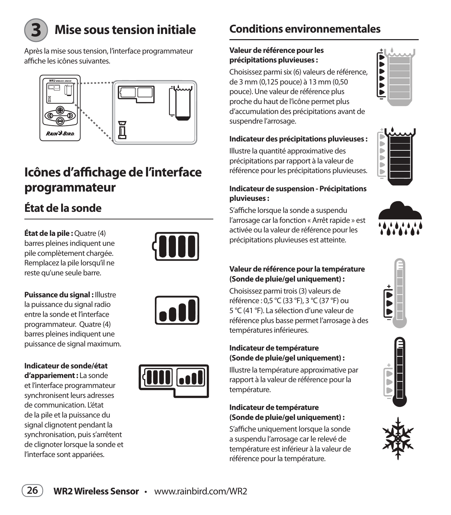

## **Mise sous tension initiale**

Après la mise sous tension, l'interface programmateur affiche les icônes suivantes.



## **Icônes d'affichage de l'interface programmateur**

## **État de la sonde**

**État de la pile :** Quatre (4) barres pleines indiquent une pile complètement chargée. Remplacez la pile lorsqu'il ne reste qu'une seule barre.



**Puissance du signal :** Illustre la puissance du signal radio entre la sonde et l'interface programmateur. Quatre (4) barres pleines indiquent une puissance de signal maximum.

#### **Indicateur de sonde/état**

**d'appariement :** La sonde et l'interface programmateur synchronisent leurs adresses de communication. L'état de la pile et la puissance du signal clignotent pendant la synchronisation, puis s'arrêtent de clignoter lorsque la sonde et l'interface sont appariées.



## **Conditions environnementales**

#### **Valeur de référence pour les précipitations pluvieuses :**

Choisissez parmi six (6) valeurs de référence, de 3 mm (0,125 pouce) à 13 mm (0,50 pouce). Une valeur de référence plus proche du haut de l'icône permet plus d'accumulation des précipitations avant de suspendre l'arrosage.

#### **Indicateur des précipitations pluvieuses :**

Illustre la quantité approximative des précipitations par rapport à la valeur de référence pour les précipitations pluvieuses.

#### **Indicateur de suspension - Précipitations pluvieuses :**

S'affiche lorsque la sonde a suspendu l'arrosage car la fonction « Arrêt rapide » est activée ou la valeur de référence pour les précipitations pluvieuses est atteinte.



Б  $\blacktriangleright$  $\overline{\phantom{a}}$  $\overline{\phantom{a}}$ 

> b Þ Þ



#### **Valeur de référence pour la température (Sonde de pluie/gel uniquement) :**

Choisissez parmi trois (3) valeurs de référence : 0,5 °C (33 °F), 3 °C (37 °F) ou 5 °C (41 °F). La sélection d'une valeur de référence plus basse permet l'arrosage à des températures inférieures.

#### **Indicateur de température (Sonde de pluie/gel uniquement) :**

Illustre la température approximative par rapport à la valeur de référence pour la température.

#### **Indicateur de température (Sonde de pluie/gel uniquement) :**

S'affiche uniquement lorsque la sonde a suspendu l'arrosage car le relevé de température est inférieur à la valeur de référence pour la température.







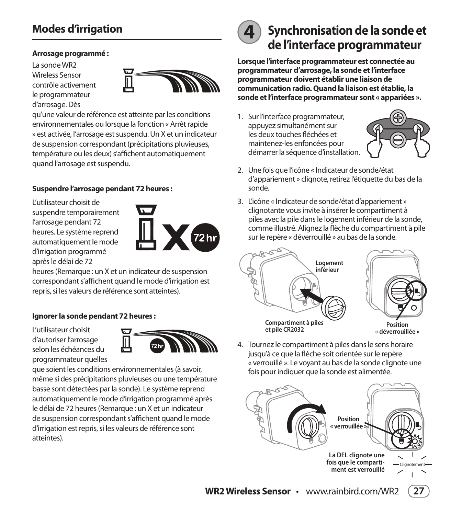## **Modes d'irrigation**

#### **Arrosage programmé :**

La sonde WR2 Wireless Sensor contrôle activement le programmateur d'arrosage. Dès



qu'une valeur de référence est atteinte par les conditions environnementales ou lorsque la fonction « Arrêt rapide » est activée, l'arrosage est suspendu. Un X et un indicateur de suspension correspondant (précipitations pluvieuses, température ou les deux) s'affichent automatiquement quand l'arrosage est suspendu.

#### **Suspendre l'arrosage pendant 72 heures :**

L'utilisateur choisit de suspendre temporairement l'arrosage pendant 72 heures. Le système reprend automatiquement le mode d'irrigation programmé après le délai de 72



heures (Remarque : un X et un indicateur de suspension correspondant s'affichent quand le mode d'irrigation est repris, si les valeurs de référence sont atteintes).

#### **Ignorer la sonde pendant 72 heures :**

L'utilisateur choisit d'autoriser l'arrosage selon les échéances du programmateur quelles



que soient les conditions environnementales (à savoir, même si des précipitations pluvieuses ou une température basse sont détectées par la sonde). Le système reprend automatiquement le mode d'irrigation programmé après le délai de 72 heures (Remarque : un X et un indicateur de suspension correspondant s'affichent quand le mode d'irrigation est repris, si les valeurs de référence sont atteintes).



## **4 Synchronisation de la sonde et de l'interface programmateur**

**Lorsque l'interface programmateur est connectée au programmateur d'arrosage, la sonde et l'interface programmateur doivent établir une liaison de communication radio. Quand la liaison est établie, la sonde et l'interface programmateur sont « appariées ».**

1. Sur l'interface programmateur, appuyez simultanément sur les deux touches fléchées et maintenez-les enfoncées pour démarrer la séquence d'installation.



- 2. Une fois que l'icône « Indicateur de sonde/état d'appariement » clignote, retirez l'étiquette du bas de la sonde.
- 3. L'icône « Indicateur de sonde/état d'appariement » clignotante vous invite à insérer le compartiment à piles avec la pile dans le logement inférieur de la sonde, comme illustré. Alignez la flèche du compartiment à pile sur le repère « déverrouillé » au bas de la sonde.



4. Tournez le compartiment à piles dans le sens horaire jusqu'à ce que la flèche soit orientée sur le repère « verrouillé ». Le vovant au bas de la sonde clignote une fois pour indiquer que la sonde est alimentée.

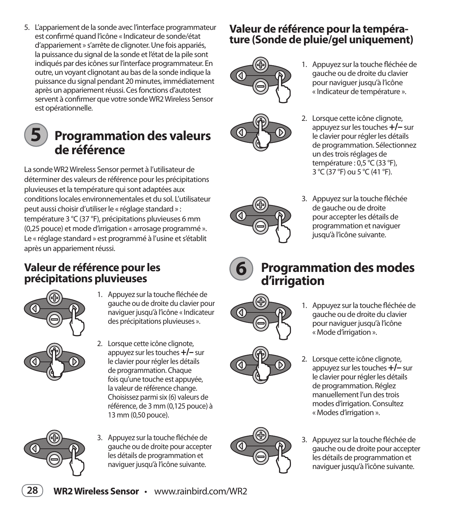5. L'appariement de la sonde avec l'interface programmateur est confirmé quand l'icône « Indicateur de sonde/état d'appariement » s'arrête de clignoter. Une fois appariés, la puissance du signal de la sonde et l'état de la pile sont indiqués par des icônes sur l'interface programmateur. En outre, un voyant clignotant au bas de la sonde indique la puissance du signal pendant 20 minutes, immédiatement après un appariement réussi. Ces fonctions d'autotest servent à confirmer que votre sonde WR2 Wireless Sensor est opérationnelle.

### **Programmation des valeurs de référence 5**

La sonde WR2 Wireless Sensor permet à l'utilisateur de déterminer des valeurs de référence pour les précipitations pluvieuses et la température qui sont adaptées aux conditions locales environnementales et du sol. L'utilisateur peut aussi choisir d'utiliser le « réglage standard » : température 3 °C (37 °F), précipitations pluvieuses 6 mm (0,25 pouce) et mode d'irrigation « arrosage programmé ». Le « réglage standard » est programmé à l'usine et s'établit après un appariement réussi.

### **Valeur de référence pour les précipitations pluvieuses**



- 1. Appuyez sur la touche fléchée de gauche ou de droite du clavier pour naviguer jusqu'à l'icône « Indicateur des précipitations pluvieuses ».
- 2. Lorsque cette icône clignote, appuyez sur les touches **+/–** sur le clavier pour régler les détails de programmation. Chaque fois qu'une touche est appuyée, la valeur de référence change. Choisissez parmi six (6) valeurs de référence, de 3 mm (0,125 pouce) à 13 mm (0,50 pouce).



3. Appuyez sur la touche fléchée de gauche ou de droite pour accepter les détails de programmation et naviquer jusqu'à l'icône suivante.

### **Valeur de référence pour la température (Sonde de pluie/gel uniquement)**





- 1. Appuyez sur la touche fléchée de gauche ou de droite du clavier pour naviguer jusqu'à l'icône « Indicateur de température ».
- 2. Lorsque cette icône clignote, appuyez sur les touches **+/–** sur le clavier pour régler les détails de programmation. Sélectionnez un des trois réglages de température : 0,5 °C (33 °F), 3 °C (37 °F) ou 5 °C (41 °F).



3. Appuyez sur la touche fléchée de gauche ou de droite pour accepter les détails de programmation et naviguer jusqu'à l'icône suivante.



## **Programmation des modes d'irrigation**



- 1. Appuyez sur la touche fléchée de gauche ou de droite du clavier pour naviguer jusqu'à l'icône « Mode d'irrigation ».
- 2. Lorsque cette icône clignote, appuyez sur les touches **+/–** sur le clavier pour régler les détails de programmation. Réglez manuellement l'un des trois modes d'irrigation. Consultez « Modes d'irrigation ».
- 3. Appuyez sur la touche fléchée de gauche ou de droite pour accepter les détails de programmation et naviquer jusqu'à l'icône suivante.

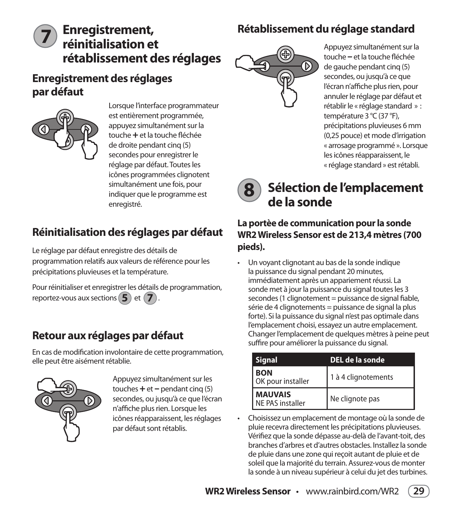## **Enregistrement, Rétablissement du réglage standard**

## **réinitialisation et rétablissement des réglages 7**

### **Enregistrement des réglages par défaut**



Lorsque l'interface programmateur est entièrement programmée, appuyez simultanément sur la touche + et la touche fléchée de droite pendant cinq (5) secondes pour enregistrer le réglage par défaut. Toutes les icônes programmées clignotent simultanément une fois, pour indiquer que le programme est enregistré.

## **Réinitialisation des réglages par défaut**

Le réglage par défaut enregistre des détails de programmation relatifs aux valeurs de référence pour les précipitations pluvieuses et la température.

Pour réinitialiser et enregistrer les détails de programmation, reportez-vous aux sections  $(5)$  et  $(7)$ 

### **Retour aux réglages par défaut**

En cas de modification involontaire de cette programmation, elle peut être aisément rétablie.



Appuyez simultanément sur les touches **+** et **–** pendant cinq (5) secondes, ou jusqu'à ce que l'écran n'affiche plus rien. Lorsque les icônes réapparaissent, les réglages par défaut sont rétablis.



Appuyez simultanément sur la touche – et la touche fléchée de gauche pendant cinq (5) secondes, ou jusqu'à ce que l'écran n'affiche plus rien, pour annuler le réglage par défaut et rétablir le « réglage standard » : température 3 °C (37 °F), précipitations pluvieuses 6 mm (0,25 pouce) et mode d'irrigation « arrosage programmé ». Lorsque les icônes réapparaissent, le « réglage standard » est rétabli.



## **Sélection de l'emplacement de la sonde**

### **La portèe de communication pour la sonde WR2 Wireless Sensor est de 213,4 mètres (700 pieds).**

Un voyant clignotant au bas de la sonde indique la puissance du signal pendant 20 minutes, immédiatement après un appariement réussi. La sonde met à jour la puissance du signal toutes les 3 secondes (1 clignotement = puissance de signal fiable, série de 4 clignotements = puissance de signal la plus forte). Si la puissance du signal n'est pas optimale dans l'emplacement choisi, essayez un autre emplacement. Changer l'emplacement de quelques mètres à peine peut suffire pour améliorer la puissance du signal.

| <b>Signal</b>                      | DEL de la sonde     |
|------------------------------------|---------------------|
| <b>BON</b><br>OK pour installer    | 1 à 4 clignotements |
| <b>MAUVAIS</b><br>NF PAS installer | Ne clignote pas     |

Choisissez un emplacement de montage où la sonde de pluie recevra directement les précipitations pluvieuses. Vérifiez que la sonde dépasse au-delà de l'avant-toit, des branches d'arbres et d'autres obstacles. Installez la sonde de pluie dans une zone qui reçoit autant de pluie et de soleil que la majorité du terrain. Assurez-vous de monter la sonde à un niveau supérieur à celui du jet des turbines.

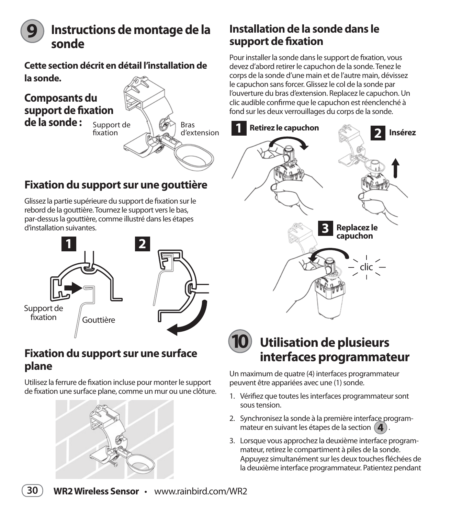

## **Instructions de montage de la sonde**

**Cette section décrit en détail l'installation de la sonde.** 

### Bras d'extension Support de fixation **Composants du support de fixation de la sonde :**

### **Fixation du support sur une gouttière**

Glissez la partie supérieure du support de fixation sur le rebord de la gouttière. Tournez le support vers le bas, par-dessus la gouttière, comme illustré dans les étapes d'installation suivantes.



### **Fixation du support sur une surface plane**

Utilisez la ferrure de fixation incluse pour monter le support de fixation une surface plane, comme un mur ou une clôture.



### **Installation de la sonde dans le support de fixation**

Pour installer la sonde dans le support de fixation, vous devez d'abord retirer le capuchon de la sonde. Tenez le corps de la sonde d'une main et de l'autre main, dévissez le capuchon sans forcer. Glissez le col de la sonde par l'ouverture du bras d'extension. Replacez le capuchon. Un clic audible confirme que le capuchon est réenclenché à fond sur les deux verrouillages du corps de la sonde.





Un maximum de quatre (4) interfaces programmateur peuvent être appariées avec une (1) sonde.

- 1. Vérifiez que toutes les interfaces programmateur sont sous tension.
- 2. Synchronisez la sonde à la première interface program mateur en suivant les étapes de la section **4** .
- 3. Lorsque vous approchez la deuxième interface program mateur, retirez le compartiment à piles de la sonde. Appuyez simultanément sur les deux touches fléchées de la deuxième interface programmateur. Patientez pendant

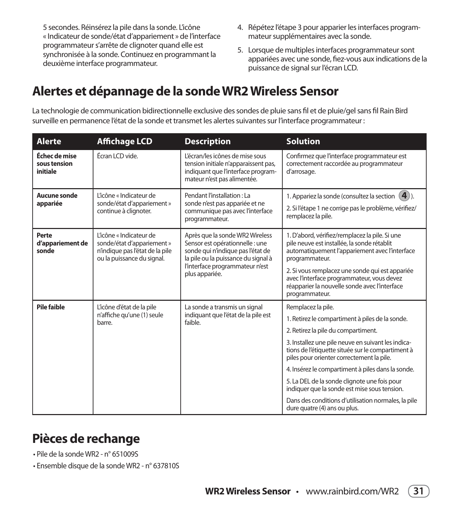5 secondes. Réinsérez la pile dans la sonde. L'icône « Indicateur de sonde/état d'appariement » de l'interface programmateur s'arrête de clignoter quand elle est synchronisée à la sonde. Continuez en programmant la deuxième interface programmateur.

- 4. Répétez l'étape 3 pour apparier les interfaces program mateur supplémentaires avec la sonde.
- 5. Lorsque de multiples interfaces programmateur sont appariées avec une sonde, fiez-vous aux indications de la puissance de signal sur l'écran LCD.

## **Alertes et dépannage de la sonde WR2 Wireless Sensor**

La technologie de communication bidirectionnelle exclusive des sondes de pluie sans fil et de pluie/gel sans fil Rain Bird surveille en permanence l'état de la sonde et transmet les alertes suivantes sur l'interface programmateur :

| <b>Alerte</b>                             | <b>Affichage LCD</b>                                                                                                   | <b>Description</b>                                                                                                                                                                | <b>Solution</b>                                                                                                                                                   |
|-------------------------------------------|------------------------------------------------------------------------------------------------------------------------|-----------------------------------------------------------------------------------------------------------------------------------------------------------------------------------|-------------------------------------------------------------------------------------------------------------------------------------------------------------------|
| Échec de mise<br>sous tension<br>initiale | Écran LCD vide.                                                                                                        | L'écran/les icônes de mise sous<br>tension initiale n'apparaissent pas,<br>indiquant que l'interface program-<br>mateur n'est pas alimentée.                                      | Confirmez que l'interface programmateur est<br>correctement raccordée au programmateur<br>d'arrosage.                                                             |
| Aucune sonde<br>appariée                  | L'icône « Indicateur de<br>sonde/état d'appariement »<br>continue à clignoter.                                         | Pendant l'installation : La<br>sonde n'est pas appariée et ne<br>communique pas avec l'interface<br>programmateur.                                                                | 1. Appariez la sonde (consultez la section $(4)$ ).<br>2. Si l'étape 1 ne corrige pas le problème, vérifiez/<br>remplacez la pile.                                |
| Perte<br>d'appariement de<br>sonde        | L'icône « Indicateur de<br>sonde/état d'appariement »<br>n'indique pas l'état de la pile<br>ou la puissance du signal. | Après que la sonde WR2 Wireless<br>Sensor est opérationnelle : une<br>sonde qui n'indique pas l'état de<br>la pile ou la puissance du signal à<br>l'interface programmateur n'est | 1. D'abord, vérifiez/remplacez la pile. Si une<br>pile neuve est installée, la sonde rétablit<br>automatiquement l'appariement avec l'interface<br>programmateur. |
|                                           |                                                                                                                        | plus appariée.                                                                                                                                                                    | 2. Si vous remplacez une sonde qui est appariée<br>avec l'interface programmateur, vous devez<br>réapparier la nouvelle sonde avec l'interface<br>programmateur.  |
| Pile faible                               | L'icône d'état de la pile                                                                                              | La sonde a transmis un signal                                                                                                                                                     | Remplacez la pile.                                                                                                                                                |
|                                           | n'affiche qu'une (1) seule<br>faible.<br>barre.                                                                        | indiquant que l'état de la pile est                                                                                                                                               | 1. Retirez le compartiment à piles de la sonde.                                                                                                                   |
|                                           |                                                                                                                        |                                                                                                                                                                                   | 2. Retirez la pile du compartiment.                                                                                                                               |
|                                           |                                                                                                                        |                                                                                                                                                                                   | 3. Installez une pile neuve en suivant les indica-<br>tions de l'étiquette située sur le compartiment à<br>piles pour orienter correctement la pile.              |
|                                           |                                                                                                                        |                                                                                                                                                                                   | 4. Insérez le compartiment à piles dans la sonde.                                                                                                                 |
|                                           |                                                                                                                        |                                                                                                                                                                                   | 5. La DEL de la sonde clignote une fois pour<br>indiquer que la sonde est mise sous tension.                                                                      |
|                                           |                                                                                                                        |                                                                                                                                                                                   | Dans des conditions d'utilisation normales, la pile<br>dure quatre (4) ans ou plus.                                                                               |

## **Pièces de rechange**

. Pile de la sonde WR2 - nº 651009S

• Ensemble disque de la sonde WR2 - n° 637810S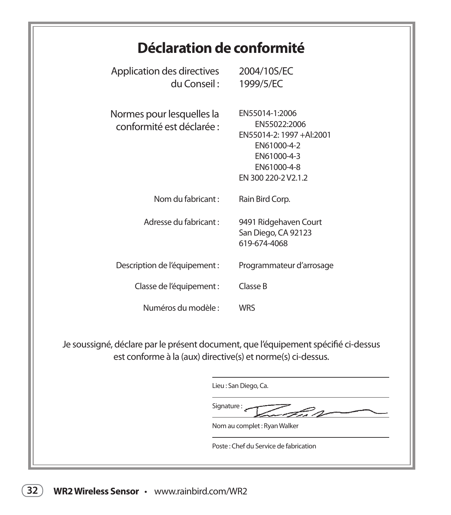## **Déclaration de conformité**

| Application des directives<br>du Conseil :                          | 2004/10S/EC<br>1999/5/EC                                                                                                       |
|---------------------------------------------------------------------|--------------------------------------------------------------------------------------------------------------------------------|
| Normes pour lesquelles la<br>conformité est déclarée :              | EN55014-1:2006<br>EN55022:2006<br>EN55014-2: 1997 +Al:2001<br>EN61000-4-2<br>EN61000-4-3<br>EN61000-4-8<br>EN 300 220-2 V2.1.2 |
| Nom du fabricant :                                                  | Rain Bird Corp.                                                                                                                |
| Adresse du fabricant :                                              | 9491 Ridgehaven Court<br>San Diego, CA 92123<br>619-674-4068                                                                   |
| Description de l'équipement :                                       | Programmateur d'arrosage                                                                                                       |
| Classe de l'équipement :                                            | Classe B                                                                                                                       |
| Numéros du modèle :                                                 | <b>WRS</b>                                                                                                                     |
| ané, déclare par le présent document, que l'équipement spécifié ci- |                                                                                                                                |

Je soussigné, déclare par le présent document, que l'équipement spécifié ci-dessus est conforme à la (aux) directive(s) et norme(s) ci-dessus.

Lieu: San Diego, Ca.

Signature :  $\mathcal{Z}_{\mathcal{A}}$ 

Nom au complet : Ryan Walker

Poste: Chef du Service de fabrication